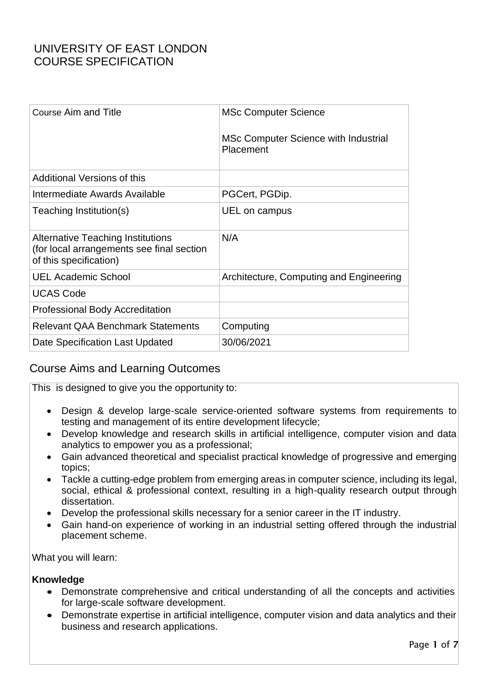| <b>MSc Computer Science</b>                              |
|----------------------------------------------------------|
| MSc Computer Science with Industrial<br><b>Placement</b> |
|                                                          |
| PGCert, PGDip.                                           |
| UEL on campus                                            |
| N/A                                                      |
| Architecture, Computing and Engineering                  |
|                                                          |
|                                                          |
| Computing                                                |
| 30/06/2021                                               |
|                                                          |

### Course Aims and Learning Outcomes

This is designed to give you the opportunity to:

- Design & develop large-scale service-oriented software systems from requirements to testing and management of its entire development lifecycle;
- Develop knowledge and research skills in artificial intelligence, computer vision and data analytics to empower you as a professional;
- Gain advanced theoretical and specialist practical knowledge of progressive and emerging topics;
- Tackle a cutting-edge problem from emerging areas in computer science, including its legal, social, ethical & professional context, resulting in a high-quality research output through dissertation.
- Develop the professional skills necessary for a senior career in the IT industry.
- Gain hand-on experience of working in an industrial setting offered through the industrial placement scheme.

What you will learn:

#### **Knowledge**

- Demonstrate comprehensive and critical understanding of all the concepts and activities for large-scale software development.
- Demonstrate expertise in artificial intelligence, computer vision and data analytics and their business and research applications.

Page 1 of 7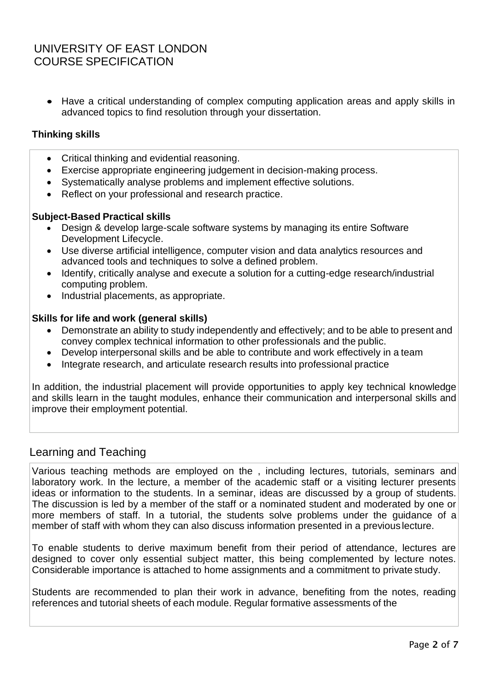• Have a critical understanding of complex computing application areas and apply skills in advanced topics to find resolution through your dissertation.

#### **Thinking skills**

- Critical thinking and evidential reasoning.
- Exercise appropriate engineering judgement in decision-making process.
- Systematically analyse problems and implement effective solutions.
- Reflect on your professional and research practice.

#### **Subject-Based Practical skills**

- Design & develop large-scale software systems by managing its entire Software Development Lifecycle.
- Use diverse artificial intelligence, computer vision and data analytics resources and advanced tools and techniques to solve a defined problem.
- Identify, critically analyse and execute a solution for a cutting-edge research/industrial computing problem.
- Industrial placements, as appropriate.

#### **Skills for life and work (general skills)**

- Demonstrate an ability to study independently and effectively; and to be able to present and convey complex technical information to other professionals and the public.
- Develop interpersonal skills and be able to contribute and work effectively in a team
- Integrate research, and articulate research results into professional practice

In addition, the industrial placement will provide opportunities to apply key technical knowledge and skills learn in the taught modules, enhance their communication and interpersonal skills and improve their employment potential.

### Learning and Teaching

Various teaching methods are employed on the , including lectures, tutorials, seminars and laboratory work. In the lecture, a member of the academic staff or a visiting lecturer presents ideas or information to the students. In a seminar, ideas are discussed by a group of students. The discussion is led by a member of the staff or a nominated student and moderated by one or more members of staff. In a tutorial, the students solve problems under the guidance of a member of staff with whom they can also discuss information presented in a previous lecture.

To enable students to derive maximum benefit from their period of attendance, lectures are designed to cover only essential subject matter, this being complemented by lecture notes. Considerable importance is attached to home assignments and a commitment to private study.

Students are recommended to plan their work in advance, benefiting from the notes, reading references and tutorial sheets of each module. Regular formative assessments of the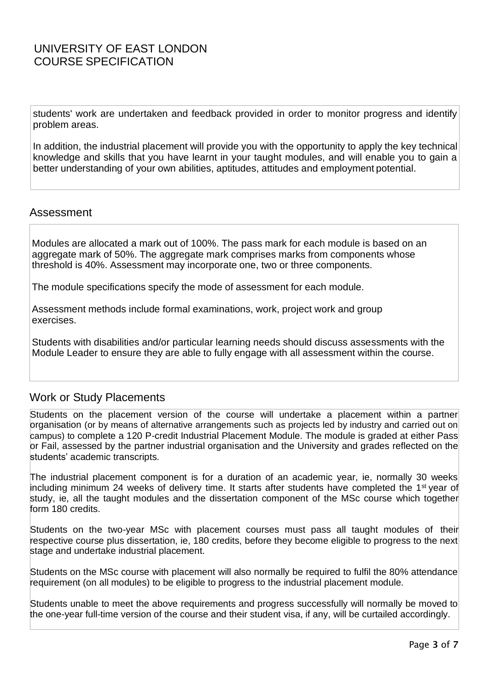students' work are undertaken and feedback provided in order to monitor progress and identify problem areas.

In addition, the industrial placement will provide you with the opportunity to apply the key technical knowledge and skills that you have learnt in your taught modules, and will enable you to gain a better understanding of your own abilities, aptitudes, attitudes and employment potential.

#### Assessment

Modules are allocated a mark out of 100%. The pass mark for each module is based on an aggregate mark of 50%. The aggregate mark comprises marks from components whose threshold is 40%. Assessment may incorporate one, two or three components.

The module specifications specify the mode of assessment for each module.

Assessment methods include formal examinations, work, project work and group exercises.

Students with disabilities and/or particular learning needs should discuss assessments with the Module Leader to ensure they are able to fully engage with all assessment within the course.

#### Work or Study Placements

Students on the placement version of the course will undertake a placement within a partner organisation (or by means of alternative arrangements such as projects led by industry and carried out on campus) to complete a 120 P-credit Industrial Placement Module. The module is graded at either Pass or Fail, assessed by the partner industrial organisation and the University and grades reflected on the students' academic transcripts.

The industrial placement component is for a duration of an academic year, ie, normally 30 weeks including minimum 24 weeks of delivery time. It starts after students have completed the 1<sup>st</sup> year of study, ie, all the taught modules and the dissertation component of the MSc course which together form 180 credits.

Students on the two-year MSc with placement courses must pass all taught modules of their respective course plus dissertation, ie, 180 credits, before they become eligible to progress to the next stage and undertake industrial placement.

Students on the MSc course with placement will also normally be required to fulfil the 80% attendance requirement (on all modules) to be eligible to progress to the industrial placement module.

Students unable to meet the above requirements and progress successfully will normally be moved to the one-year full-time version of the course and their student visa, if any, will be curtailed accordingly.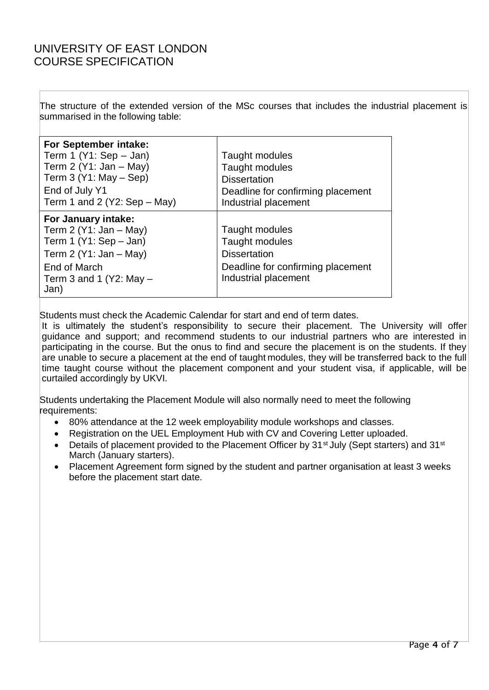The structure of the extended version of the MSc courses that includes the industrial placement is summarised in the following table:

| For September intake:<br>Term 1 $(Y1: Sep - Jan)$<br>Term 2 $(Y1: Jan - May)$<br>Term $3(Y1: May - Sep)$<br>End of July Y1<br>Term 1 and 2 (Y2: Sep $-$ May) | Taught modules<br>Taught modules<br><b>Dissertation</b><br>Deadline for confirming placement<br>Industrial placement |
|--------------------------------------------------------------------------------------------------------------------------------------------------------------|----------------------------------------------------------------------------------------------------------------------|
| For January intake:<br>Term $2(Y1: Jan - May)$<br>Term 1 $(Y1: Sep - Jan)$<br>Term $2(Y1: Jan - May)$<br>End of March<br>Term 3 and 1 (Y2: May $-$<br>Jan)   | Taught modules<br>Taught modules<br><b>Dissertation</b><br>Deadline for confirming placement<br>Industrial placement |

Students must check the Academic Calendar for start and end of term dates.

It is ultimately the student's responsibility to secure their placement. The University will offer guidance and support; and recommend students to our industrial partners who are interested in participating in the course. But the onus to find and secure the placement is on the students. If they are unable to secure a placement at the end of taught modules, they will be transferred back to the full time taught course without the placement component and your student visa, if applicable, will be curtailed accordingly by UKVI.

Students undertaking the Placement Module will also normally need to meet the following requirements:

- 80% attendance at the 12 week employability module workshops and classes.
- Registration on the UEL Employment Hub with CV and Covering Letter uploaded.
- Details of placement provided to the Placement Officer by 31<sup>st</sup> July (Sept starters) and 31<sup>st</sup> March (January starters).
- Placement Agreement form signed by the student and partner organisation at least 3 weeks before the placement start date.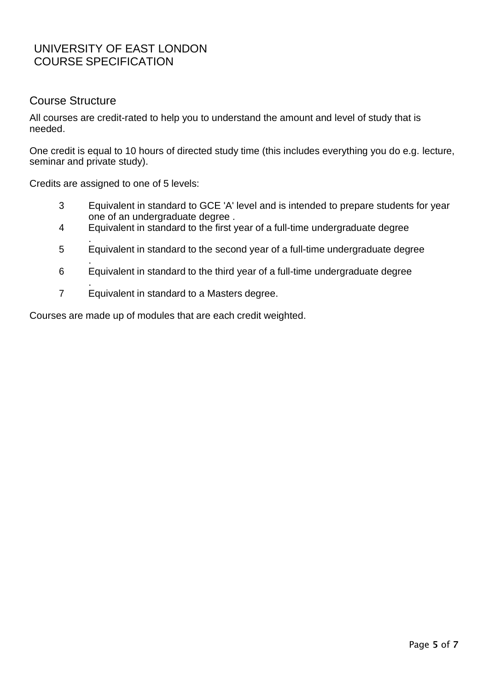### Course Structure

All courses are credit-rated to help you to understand the amount and level of study that is needed.

One credit is equal to 10 hours of directed study time (this includes everything you do e.g. lecture, seminar and private study).

Credits are assigned to one of 5 levels:

- 3 Equivalent in standard to GCE 'A' level and is intended to prepare students for year one of an undergraduate degree .
- 4 Equivalent in standard to the first year of a full-time undergraduate degree
- . 5 Equivalent in standard to the second year of a full-time undergraduate degree
- . 6 Equivalent in standard to the third year of a full-time undergraduate degree
- . 7 Equivalent in standard to a Masters degree.

Courses are made up of modules that are each credit weighted.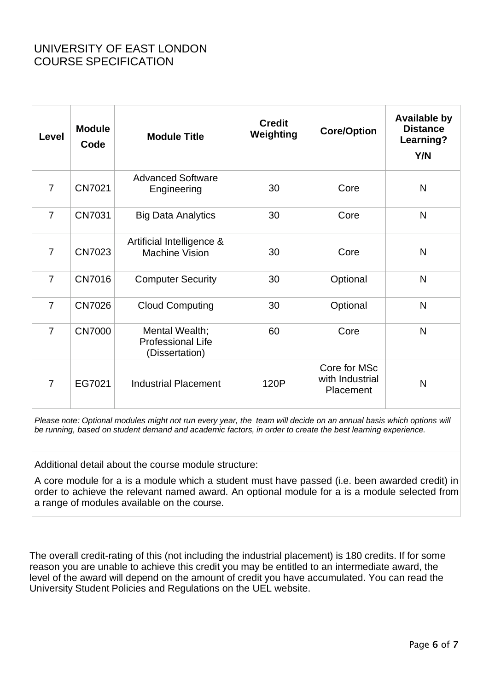| Level          | <b>Module</b><br>Code | <b>Module Title</b>                                   | <b>Credit</b><br>Weighting | <b>Core/Option</b>                           | <b>Available by</b><br><b>Distance</b><br>Learning?<br>Y/N |
|----------------|-----------------------|-------------------------------------------------------|----------------------------|----------------------------------------------|------------------------------------------------------------|
| $\overline{7}$ | CN7021                | <b>Advanced Software</b><br>Engineering               | 30                         | Core                                         | N                                                          |
| $\overline{7}$ | CN7031                | <b>Big Data Analytics</b>                             | 30                         | Core                                         | N                                                          |
| $\overline{7}$ | CN7023                | Artificial Intelligence &<br><b>Machine Vision</b>    | 30                         | Core                                         | N                                                          |
| $\overline{7}$ | <b>CN7016</b>         | <b>Computer Security</b>                              | 30                         | Optional                                     | N                                                          |
| $\overline{7}$ | <b>CN7026</b>         | <b>Cloud Computing</b>                                | 30                         | Optional                                     | N                                                          |
| $\overline{7}$ | <b>CN7000</b>         | Mental Wealth;<br>Professional Life<br>(Dissertation) | 60                         | Core                                         | N                                                          |
| $\overline{7}$ | EG7021                | <b>Industrial Placement</b>                           | 120P                       | Core for MSc<br>with Industrial<br>Placement | N                                                          |

Please note: Optional modules might not run every year, the team will decide on an annual basis which options will *be running, based on student demand and academic factors, in order to create the best learning experience.*

Additional detail about the course module structure:

A core module for a is a module which a student must have passed (i.e. been awarded credit) in order to achieve the relevant named award. An optional module for a is a module selected from a range of modules available on the course.

The overall credit-rating of this (not including the industrial placement) is 180 credits. If for some reason you are unable to achieve this credit you may be entitled to an intermediate award, the level of the award will depend on the amount of credit you have accumulated. You can read the University Student Policies and Regulations on the UEL website.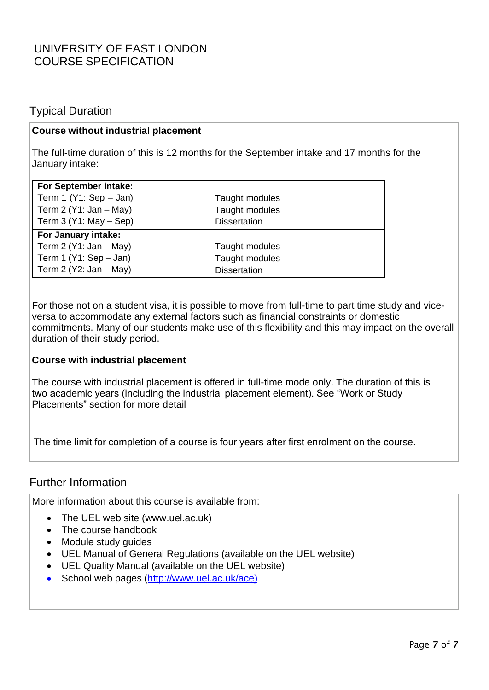### Typical Duration

#### **Course without industrial placement**

The full-time duration of this is 12 months for the September intake and 17 months for the January intake:

| For September intake:<br>Term 1 $(Y1: Sep - Jan)$<br>Term $2(Y1: Jan - May)$<br>Term $3(Y1: May - Sep)$ | Taught modules<br>Taught modules<br><b>Dissertation</b> |
|---------------------------------------------------------------------------------------------------------|---------------------------------------------------------|
| For January intake:<br>Term $2(Y1: Jan - May)$<br>Term 1 (Y1: Sep $-$ Jan)<br>Term $2(Y2: Jan - May)$   | Taught modules<br>Taught modules<br><b>Dissertation</b> |

For those not on a student visa, it is possible to move from full-time to part time study and viceversa to accommodate any external factors such as financial constraints or domestic commitments. Many of our students make use of this flexibility and this may impact on the overall duration of their study period.

#### **Course with industrial placement**

The course with industrial placement is offered in full-time mode only. The duration of this is two academic years (including the industrial placement element). See "Work or Study Placements" section for more detail

The time limit for completion of a course is four years after first enrolment on the course.

#### Further Information

More information about this course is available from:

- The UEL web site (www.uel.ac.uk)
- The course handbook
- Module study guides
- UEL Manual of General Regulations (available on the UEL website)
- UEL Quality Manual (available on the UEL website)
- School web pages [\(http://www.uel.ac.uk/ace\)](http://www.uel.ac.uk/ace))